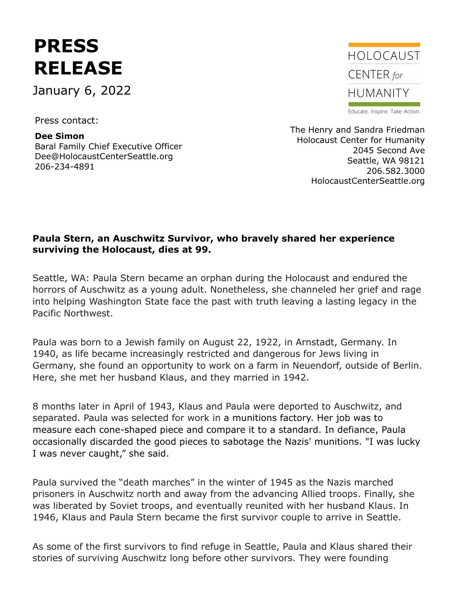## **PRESS RELEASE**

January 6, 2022

Press contact:

**Dee Simon** Baral Family Chief Executive Officer Dee@HolocaustCenterSeattle.org 206-234-4891



Educate. Inspire. Take Action.

The Henry and Sandra Friedman Holocaust Center for Humanity 2045 Second Ave Seattle, WA 98121 206.582.3000 HolocaustCenterSeattle.org

## **Paula Stern, an Auschwitz Survivor, who bravely shared her experience surviving the Holocaust, dies at 99.**

Seattle, WA: Paula Stern became an orphan during the Holocaust and endured the horrors of Auschwitz as a young adult. Nonetheless, she channeled her grief and rage into helping Washington State face the past with truth leaving a lasting legacy in the Pacific Northwest.

Paula was born to a Jewish family on August 22, 1922, in Arnstadt, Germany. In 1940, as life became increasingly restricted and dangerous for Jews living in Germany, she found an opportunity to work on a farm in Neuendorf, outside of Berlin. Here, she met her husband Klaus, and they married in 1942.

8 months later in April of 1943, Klaus and Paula were deported to Auschwitz, and separated. Paula was selected for work in a munitions factory. Her job was to measure each cone-shaped piece and compare it to a standard. In defiance, Paula occasionally discarded the good pieces to sabotage the Nazis' munitions. "I was lucky I was never caught," she said.

Paula survived the "death marches" in the winter of 1945 as the Nazis marched prisoners in Auschwitz north and away from the advancing Allied troops. Finally, she was liberated by Soviet troops, and eventually reunited with her husband Klaus. In 1946, Klaus and Paula Stern became the first survivor couple to arrive in Seattle.

As some of the first survivors to find refuge in Seattle, Paula and Klaus shared their stories of surviving Auschwitz long before other survivors. They were founding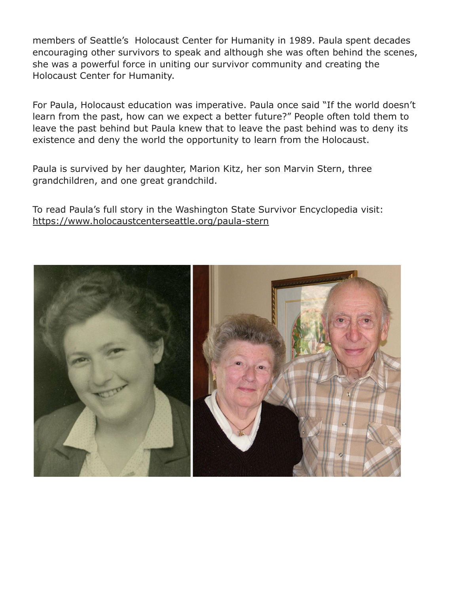members of Seattle's Holocaust Center for Humanity in 1989. Paula spent decades encouraging other survivors to speak and although she was often behind the scenes, she was a powerful force in uniting our survivor community and creating the Holocaust Center for Humanity.

For Paula, Holocaust education was imperative. Paula once said "If the world doesn't learn from the past, how can we expect a better future?" People often told them to leave the past behind but Paula knew that to leave the past behind was to deny its existence and deny the world the opportunity to learn from the Holocaust.

Paula is survived by her daughter, Marion Kitz, her son Marvin Stern, three grandchildren, and one great grandchild.

To read Paula's full story in the Washington State Survivor Encyclopedia visit: <https://www.holocaustcenterseattle.org/paula-stern>